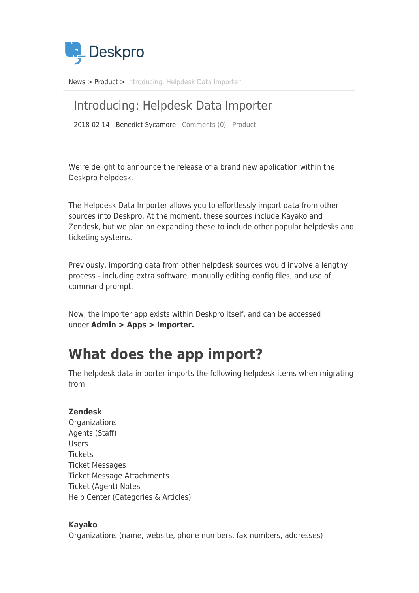

[News](https://support.deskpro.com/ro/news) > [Product](https://support.deskpro.com/ro/news/product) > [Introducing: Helpdesk Data Importer](https://support.deskpro.com/ro/news/posts/introducing-helpdesk-data-importer)

#### Introducing: Helpdesk Data Importer

2018-02-14 - Benedict Sycamore - [Comments \(0\)](#page--1-0) - [Product](https://support.deskpro.com/ro/news/product)

We're delight to announce the release of a brand new application within the Deskpro helpdesk.

The Helpdesk Data Importer allows you to effortlessly import data from other sources into Deskpro. At the moment, these sources include Kayako and Zendesk, but we plan on expanding these to include other popular helpdesks and ticketing systems.

Previously, importing data from other helpdesk sources would involve a lengthy process - including extra software, manually editing config files, and use of command prompt.

Now, the importer app exists within Deskpro itself, and can be accessed under **Admin > Apps > Importer.**

## **What does the app import?**

The helpdesk data importer imports the following helpdesk items when migrating from:

#### **Zendesk**

**Organizations** Agents (Staff) Users **Tickets** Ticket Messages Ticket Message Attachments Ticket (Agent) Notes Help Center (Categories & Articles)

#### **Kayako**

Organizations (name, website, phone numbers, fax numbers, addresses)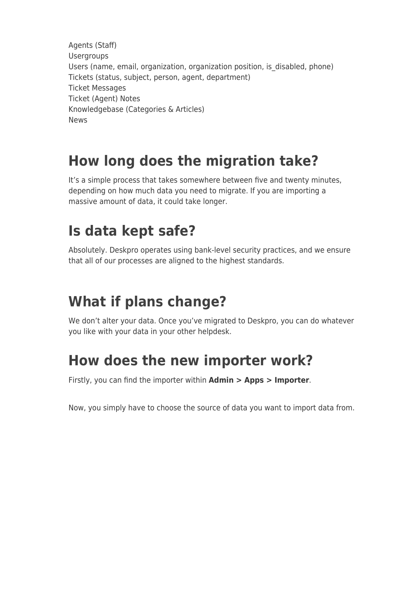Agents (Staff) Usergroups Users (name, email, organization, organization position, is\_disabled, phone) Tickets (status, subject, person, agent, department) Ticket Messages Ticket (Agent) Notes Knowledgebase (Categories & Articles) News

# **How long does the migration take?**

It's a simple process that takes somewhere between five and twenty minutes, depending on how much data you need to migrate. If you are importing a massive amount of data, it could take longer.

#### **Is data kept safe?**

Absolutely. Deskpro operates using bank-level security practices, and we ensure that all of our processes are aligned to the highest standards.

## **What if plans change?**

We don't alter your data. Once you've migrated to Deskpro, you can do whatever you like with your data in your other helpdesk.

### **How does the new importer work?**

Firstly, you can find the importer within **Admin > Apps > Importer**.

Now, you simply have to choose the source of data you want to import data from.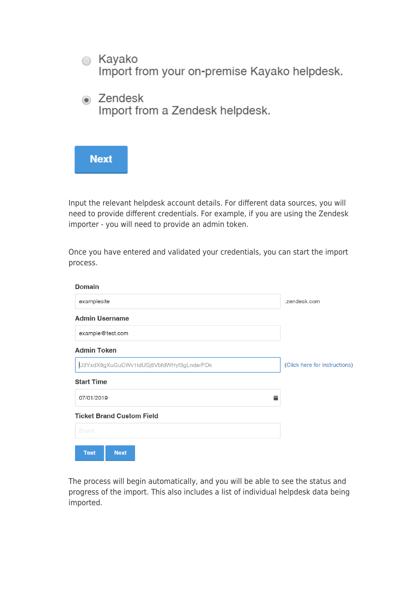

Input the relevant helpdesk account details. For different data sources, you will need to provide different credentials. For example, if you are using the Zendesk importer - you will need to provide an admin token.

Once you have entered and validated your credentials, you can start the import process.

| <b>Domain</b>                            |                               |
|------------------------------------------|-------------------------------|
| examplesite                              | .zendesk.com                  |
| <b>Admin Username</b>                    |                               |
| example@test.com                         |                               |
| <b>Admin Token</b>                       |                               |
| U3YxdX8gXuGuCWv1tdUSj8VbfdWHyf3gLnderFOk | (Click here for instructions) |
| <b>Start Time</b>                        |                               |
| 普<br>07/01/2019                          |                               |
| <b>Ticket Brand Custom Field</b>         |                               |
| <b>Brand</b>                             |                               |
| <b>Test</b><br><b>Next</b>               |                               |

The process will begin automatically, and you will be able to see the status and progress of the import. This also includes a list of individual helpdesk data being imported.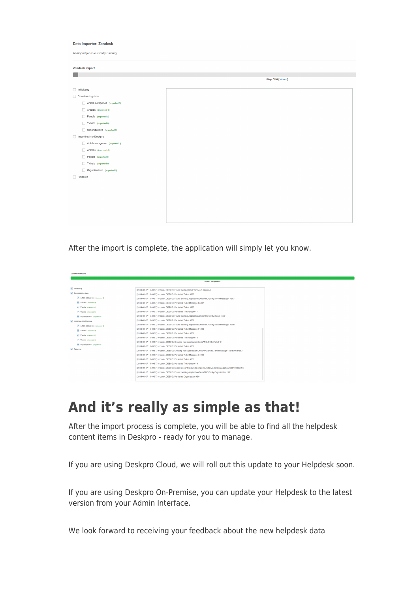#### Data Importer: Zendesk An import job is currently running

| <b>Zendesk Import</b>           |                   |
|---------------------------------|-------------------|
|                                 |                   |
|                                 | Step 0/10 [abort] |
| $\Box$ Initializing             |                   |
| Downloading data                |                   |
| Article categories (imported 0) |                   |
| Articles (imported 0)           |                   |
| People (imported 0)             |                   |
| Tickets (imported 0)            |                   |
| Organizations (imported 0)      |                   |
| Importing into Deskpro          |                   |
| Article categories (imported 0) |                   |
| Articles (imported 0)           |                   |
| People (imported 0)             |                   |
| Tickets (imported 0)            |                   |
| Organizations (imported 0)      |                   |
| Finishing                       |                   |
|                                 |                   |
|                                 |                   |
|                                 |                   |
|                                 |                   |
|                                 |                   |
|                                 |                   |
|                                 |                   |

After the import is complete, the application will simply let you know.

| Zendesk Import                    |                                                                                                            |
|-----------------------------------|------------------------------------------------------------------------------------------------------------|
|                                   |                                                                                                            |
|                                   | Import completed!                                                                                          |
|                                   |                                                                                                            |
| v Initializing                    | [2019-01-07 16:49:57] importer.DEBUG: Found existing label 'zendesk', skipping'                            |
| Downloading data                  | [2019-01-07 16:49:57] importer.DEBUG: Persisted Ticket #667                                                |
| M Article categories (imported 0) | [2019-01-07 16:49:57] importer.DEBUG: Found existing Application\DeskPRO\Entity\TicketMessage '4897'       |
| Articles procred 0)               | [2019-01-07 16:49:57] importer DEBUG: Persisted TicketMessage #4897                                        |
| People (imported 0)               | [2019-01-07 16:49:57] importer.DEBUG: Persisted Ticket #667                                                |
| Tickets dimported 5)              | [2019-01-07 16:49:57] importer.DEBUG: Persisted TicketLog #617                                             |
| Crosnizations (imported 1)        | [2019-01-07 16:49:57] importer.DEBUG: Found existing Application\DeskPRO\Entity\Ticket `668`               |
| mporting into Deskpro             | [2019-01-07 16:49:57] importer.DEBUG: Persisted Ticket #668                                                |
| Article categories (imported 0)   | [2019-01-07 16:49:57] importer.DEBUG: Found existing Application/DeskPRO/Entity/TicketMessage '4898'       |
| Articles (imported 0)             | [2019-01-07 16:49:57] importer.DEBUG: Persisted TicketMessage #4898                                        |
| People propried 0)                | [2019-01-07 16:49:57] importer.DEBUG: Persisted Ticket #668                                                |
|                                   | [2019-01-07 16:49:57] importer.DEBUG: Persisted TicketLog #618                                             |
| Tickets (imported 5)              | [2019-01-07 16:49:57] importer.DEBUG: Creating new Application\DeskPRO\Entity\Ticket `3'                   |
| Crganizations (imported 1)        | [2019-01-07 16:49:57] importer DEBUG: Persisted Ticket #669                                                |
| $\sqrt{}$ Finishing               | [2019-01-07 16:49:57] importer.DEBUG: Creating new Application\DeskPRO\Entity\TicketMessage `567509534553' |
|                                   | [2019-01-07 16:49:57] importer.DEBUG: Persisted TicketMessage #4900                                        |
|                                   | [2019-01-07 16:49:57] importer.DEBUG: Persisted Ticket #669                                                |
|                                   | [2019-01-07 16:49:57] importer.DEBUG: Persisted TicketLog #619                                             |
|                                   | [2019-01-07 16:49:57] importer.DEBUG: Export DeskPRO/BundleVmportBundleVModel/Organization#360106663494    |
|                                   | [2019-01-07 16:49:57] importer DEBUG: Found existing Application\DeskPRO\Entity\Organization `80'          |
|                                   | [2019-01-07 16:49:57] importer.DEBUG: Persisted Organization #80                                           |

#### **And it's really as simple as that!**

After the import process is complete, you will be able to find all the helpdesk content items in Deskpro - ready for you to manage.

If you are using Deskpro Cloud, we will roll out this update to your Helpdesk soon.

If you are using Deskpro On-Premise, you can update your Helpdesk to the latest version from your Admin Interface.

We look forward to receiving your feedback about the new helpdesk data